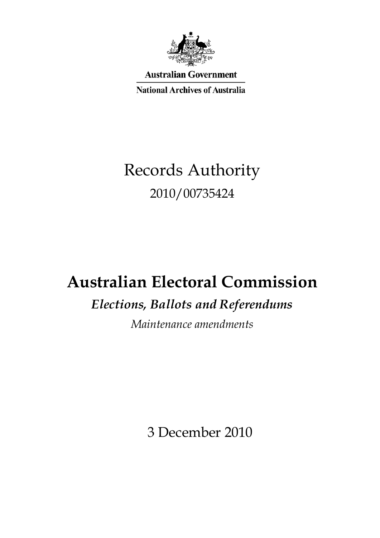

**Australian Government** 

**National Archives of Australia** 

# Records Authority 2010/00735424

## **Australian Electoral Commission**

## *Elections, Ballots and Referendums*

*Maintenance amendments* 

3 December 2010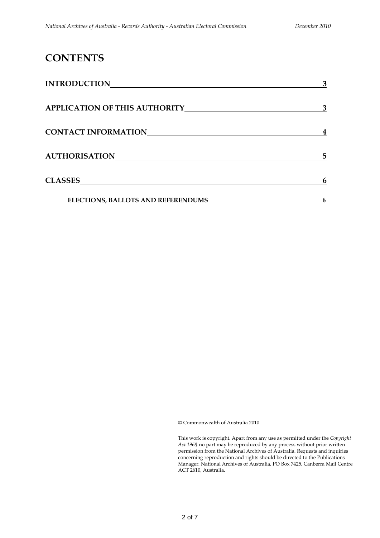### **CONTENTS**

| <b>INTRODUCTION</b>                  | 3 |
|--------------------------------------|---|
| <b>APPLICATION OF THIS AUTHORITY</b> | 3 |
| <b>CONTACT INFORMATION</b>           |   |
| <b>AUTHORISATION</b>                 | 5 |
| <b>CLASSES</b>                       | 6 |
| ELECTIONS, BALLOTS AND REFERENDUMS   | 6 |

© Commonwealth of Australia 2010

 *Act 1968,* no part may be reproduced by any process without prior written This work is copyright. Apart from any use as permitted under the *Copyright*  permission from the National Archives of Australia. Requests and inquiries concerning reproduction and rights should be directed to the Publications Manager, National Archives of Australia, PO Box 7425, Canberra Mail Centre ACT 2610, Australia.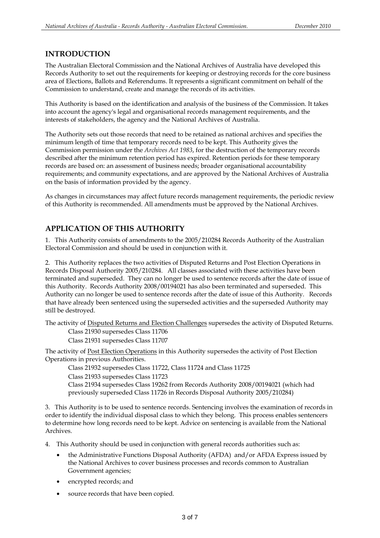#### **INTRODUCTION**

The Australian Electoral Commission and the National Archives of Australia have developed this Records Authority to set out the requirements for keeping or destroying records for the core business area of Elections, Ballots and Referendums. It represents a significant commitment on behalf of the Commission to understand, create and manage the records of its activities.

This Authority is based on the identification and analysis of the business of the Commission. It takes into account the agency's legal and organisational records management requirements, and the interests of stakeholders, the agency and the National Archives of Australia.

 records are based on: an assessment of business needs; broader organisational accountability The Authority sets out those records that need to be retained as national archives and specifies the minimum length of time that temporary records need to be kept. This Authority gives the Commission permission under the *Archives Act 1983*, for the destruction of the temporary records described after the minimum retention period has expired. Retention periods for these temporary requirements; and community expectations, and are approved by the National Archives of Australia on the basis of information provided by the agency.

As changes in circumstances may affect future records management requirements, the periodic review of this Authority is recommended. All amendments must be approved by the National Archives.

#### **APPLICATION OF THIS AUTHORITY**

 Electoral Commission and should be used in conjunction with it. 1. This Authority consists of amendments to the 2005/210284 Records Authority of the Australian

2. This Authority replaces the two activities of Disputed Returns and Post Election Operations in Records Disposal Authority 2005/210284. All classes associated with these activities have been terminated and superseded. They can no longer be used to sentence records after the date of issue of this Authority. Records Authority 2008/00194021 has also been terminated and superseded. This Authority can no longer be used to sentence records after the date of issue of this Authority. Records that have already been sentenced using the superseded activities and the superseded Authority may still be destroyed.

The activity of Disputed Returns and Election Challenges supersedes the activity of Disputed Returns.

Class 21930 supersedes Class 11706 Class 21931 supersedes Class 11707

The activity of Post Election Operations in this Authority supersedes the activity of Post Election Operations in previous Authorities.

Class 21932 supersedes Class 11722, Class 11724 and Class 11725 Class 21933 supersedes Class 11723 Class 21934 supersedes Class 19262 from Records Authority 2008/00194021 (which had previously superseded Class 11726 in Records Disposal Authority 2005/210284)

3. This Authority is to be used to sentence records. Sentencing involves the examination of records in order to identify the individual disposal class to which they belong. This process enables sentencers to determine how long records need to be kept. Advice on sentencing is available from the National Archives.

4. This Authority should be used in conjunction with general records authorities such as:

- the Administrative Functions Disposal Authority (AFDA) and/or AFDA Express issued by the National Archives to cover business processes and records common to Australian Government agencies;
- encrypted records; and
- source records that have been copied.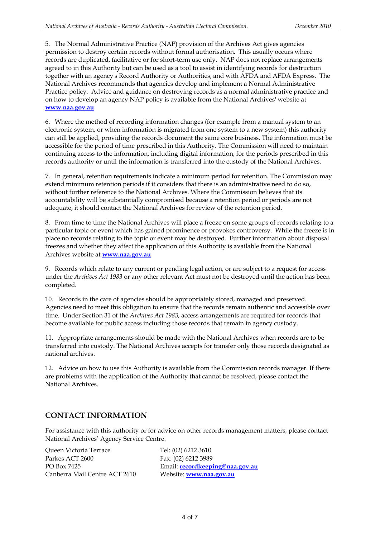permission to destroy certain records without formal authorisation. This usually occurs where 5. The Normal Administrative Practice (NAP) provision of the Archives Act gives agencies records are duplicated, facilitative or for short-term use only. NAP does not replace arrangements agreed to in this Authority but can be used as a tool to assist in identifying records for destruction together with an agency's Record Authority or Authorities, and with AFDA and AFDA Express. The National Archives recommends that agencies develop and implement a Normal Administrative Practice policy. Advice and guidance on destroying records as a normal administrative practice and on how to develop an agency NAP policy is available from the National Archives' website at **www.naa.gov.au** 

6. Where the method of recording information changes (for example from a manual system to an electronic system, or when information is migrated from one system to a new system) this authority can still be applied, providing the records document the same core business. The information must be accessible for the period of time prescribed in this Authority. The Commission will need to maintain continuing access to the information, including digital information, for the periods prescribed in this records authority or until the information is transferred into the custody of the National Archives.

7. In general, retention requirements indicate a minimum period for retention. The Commission may extend minimum retention periods if it considers that there is an administrative need to do so, without further reference to the National Archives. Where the Commission believes that its accountability will be substantially compromised because a retention period or periods are not adequate, it should contact the National Archives for review of the retention period.

 place no records relating to the topic or event may be destroyed. Further information about disposal 8. From time to time the National Archives will place a freeze on some groups of records relating to a particular topic or event which has gained prominence or provokes controversy. While the freeze is in freezes and whether they affect the application of this Authority is available from the National Archives website at **www.naa.gov.au** 

 9. Records which relate to any current or pending legal action, or are subject to a request for access under the *Archives Act 1983* or any other relevant Act must not be destroyed until the action has been completed.

10. Records in the care of agencies should be appropriately stored, managed and preserved. Agencies need to meet this obligation to ensure that the records remain authentic and accessible over time. Under Section 31 of the *Archives Act 1983*, access arrangements are required for records that become available for public access including those records that remain in agency custody.

11. Appropriate arrangements should be made with the National Archives when records are to be transferred into custody. The National Archives accepts for transfer only those records designated as national archives.

 12. Advice on how to use this Authority is available from the Commission records manager. If there are problems with the application of the Authority that cannot be resolved, please contact the National Archives.

#### **CONTACT INFORMATION**

For assistance with this authority or for advice on other records management matters, please contact National Archives' Agency Service Centre.

Queen Victoria Terrace Tel: (02) 6212 3610 Parkes ACT 2600 Fax: (02) 6212 3989 Canberra Mail Centre ACT 2610 Website: **www.naa.gov.au** 

PO Box 7425 Email: **recordkeeping@naa.gov.au**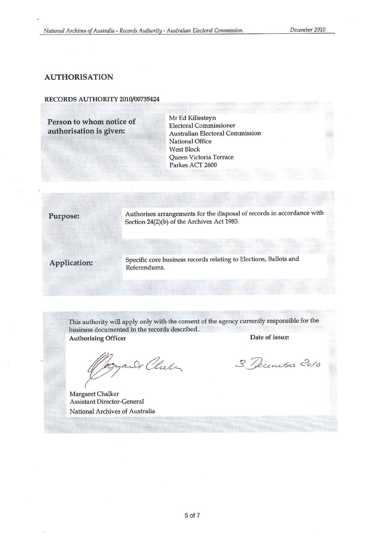#### **AUTHORISATION**

#### RECORDS AUTHORITY 2010/00735424

Person to whom notice of authorisation is given:

Mr Ed Killesteyn **Electoral Commissioner Australian Electoral Commission** National Office **West Block** Queen Victoria Terrace Parkes ACT 2600

Authorises arrangements for the disposal of records in accordance with Section 24(2)(b) of the Archives Act 1983.

Application:

Purpose:

Specific core business records relating to Elections, Ballots and Referendums.

This authority will apply only with the consent of the agency currently responsible for the business documented in the records described.. Date of issue: **Authorising Officer** 

yand Chele

Margaret Chalker Assistant Director-General National Archives of Australia

3 December 2010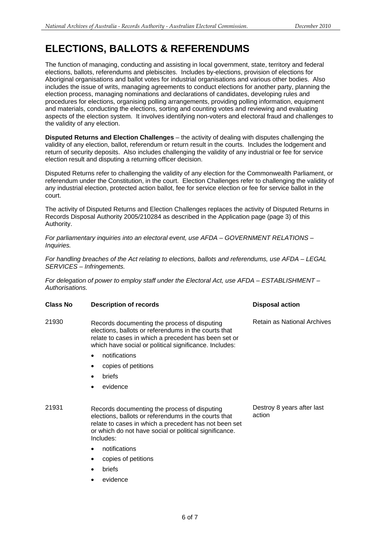### **ELECTIONS, BALLOTS & REFERENDUMS**

The function of managing, conducting and assisting in local government, state, territory and federal elections, ballots, referendums and plebiscites. Includes by-elections, provision of elections for Aboriginal organisations and ballot votes for industrial organisations and various other bodies. Also includes the issue of writs, managing agreements to conduct elections for another party, planning the election process, managing nominations and declarations of candidates, developing rules and procedures for elections, organising polling arrangements, providing polling information, equipment and materials, conducting the elections, sorting and counting votes and reviewing and evaluating aspects of the election system. It involves identifying non-voters and electoral fraud and challenges to the validity of any election.

**Disputed Returns and Election Challenges** – the activity of dealing with disputes challenging the validity of any election, ballot, referendum or return result in the courts. Includes the lodgement and return of security deposits. Also includes challenging the validity of any industrial or fee for service election result and disputing a returning officer decision.

Disputed Returns refer to challenging the validity of any election for the Commonwealth Parliament, or referendum under the Constitution, in the court. Election Challenges refer to challenging the validity of any industrial election, protected action ballot, fee for service election or fee for service ballot in the court.

The activity of Disputed Returns and Election Challenges replaces the activity of Disputed Returns in Records Disposal Authority 2005/210284 as described in the Application page (page 3) of this Authority.

*For parliamentary inquiries into an electoral event, use AFDA – GOVERNMENT RELATIONS – Inquiries.* 

*For handling breaches of the Act relating to elections, ballots and referendums, use AFDA – LEGAL SERVICES – Infringements.* 

*For delegation of power to employ staff under the Electoral Act, use AFDA – ESTABLISHMENT – Authorisations.* 

| <b>Class No</b> | <b>Description of records</b>                                                                                                                                                                                                                                                                                            | <b>Disposal action</b>      |
|-----------------|--------------------------------------------------------------------------------------------------------------------------------------------------------------------------------------------------------------------------------------------------------------------------------------------------------------------------|-----------------------------|
| 21930           | Records documenting the process of disputing<br>elections, ballots or referendums in the courts that<br>relate to cases in which a precedent has been set or<br>which have social or political significance. Includes:<br>notifications<br>$\bullet$<br>copies of petitions<br>$\bullet$<br>briefs<br>٠<br>evidence<br>٠ | Retain as National Archives |
|                 |                                                                                                                                                                                                                                                                                                                          |                             |

21931 Records documenting the process of disputing Destroy 8 years after last<br>
elections ballots or referendums in the courts that action elections, ballots or referendums in the courts that relate to cases in which a precedent has not been set or which do not have social or political significance. Includes:

- notifications
- copies of petitions
- **briefs**
- evidence